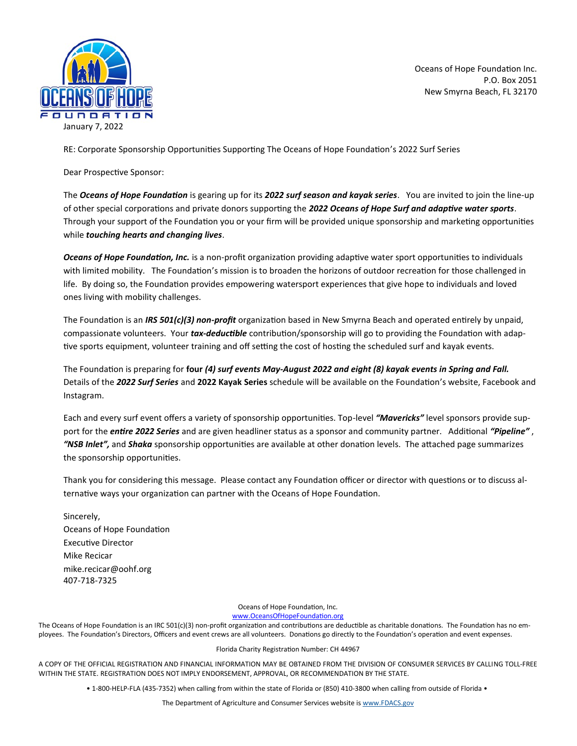

Oceans of Hope Foundation Inc. P.O. Box 2051 New Smyrna Beach, FL 32170

RE: Corporate Sponsorship Opportunities Supporting The Oceans of Hope Foundation's 2022 Surf Series

Dear Prospective Sponsor:

The *Oceans of Hope Foundation* is gearing up for its *2022 surf season and kayak series*. You are invited to join the line-up of other special corporations and private donors supporting the *2022 Oceans of Hope Surf and adaptive water sports*. Through your support of the Foundation you or your firm will be provided unique sponsorship and marketing opportunities while *touching hearts and changing lives*.

*Oceans of Hope Foundation, Inc.* is a non-profit organization providing adaptive water sport opportunities to individuals with limited mobility. The Foundation's mission is to broaden the horizons of outdoor recreation for those challenged in life. By doing so, the Foundation provides empowering watersport experiences that give hope to individuals and loved ones living with mobility challenges.

The Foundation is an *IRS 501(c)(3) non-profit* organization based in New Smyrna Beach and operated entirely by unpaid, compassionate volunteers. Your *tax-deductible* contribution/sponsorship will go to providing the Foundation with adaptive sports equipment, volunteer training and off setting the cost of hosting the scheduled surf and kayak events.

The Foundation is preparing for **four** *(4) surf events May-August 2022 and eight (8) kayak events in Spring and Fall.* Details of the *2022 Surf Series* and **2022 Kayak Series** schedule will be available on the Foundation's website, Facebook and Instagram.

Each and every surf event offers a variety of sponsorship opportunities. Top-level *"Mavericks"* level sponsors provide support for the *entire 2022 Series* and are given headliner status as a sponsor and community partner. Additional *"Pipeline"* , *"NSB Inlet",* and *Shaka* sponsorship opportunities are available at other donation levels. The attached page summarizes the sponsorship opportunities.

Thank you for considering this message. Please contact any Foundation officer or director with questions or to discuss alternative ways your organization can partner with the Oceans of Hope Foundation.

Sincerely, Oceans of Hope Foundation Executive Director Mike Recicar [mike.recicar@oohf.org](mailto:bob.lovelace@oohf.org) 407-718-7325

> Oceans of Hope Foundation, Inc. [www.OceansOfHopeFoundation.org](http://www.oceansofhopefoundation.org)

The Oceans of Hope Foundation is an IRC 501(c)(3) non-profit organization and contributions are deductible as charitable donations. The Foundation has no employees. The Foundation's Directors, Officers and event crews are all volunteers. Donations go directly to the Foundation's operation and event expenses.

Florida Charity Registration Number: CH 44967

A COPY OF THE OFFICIAL REGISTRATION AND FINANCIAL INFORMATION MAY BE OBTAINED FROM THE DIVISION OF CONSUMER SERVICES BY CALLING TOLL-FREE WITHIN THE STATE. REGISTRATION DOES NOT IMPLY ENDORSEMENT, APPROVAL, OR RECOMMENDATION BY THE STATE.

• 1-800-HELP-FLA (435-7352) when calling from within the state of Florida or (850) 410-3800 when calling from outside of Florida •

The Department of Agriculture and Consumer Services website is [www.FDACS.gov](http://www.FDACS.gov)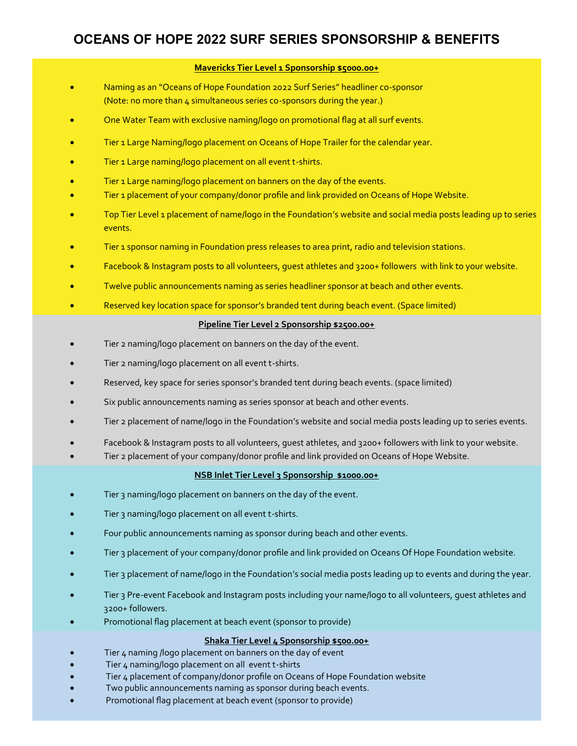# **OCEANS OF HOPE 2022 SURF SERIES SPONSORSHIP & BENEFITS**

## **Mavericks Tier Level 1 Sponsorship \$5000.00+**

- Naming as an "Oceans of Hope Foundation 2022 Surf Series" headliner co-sponsor (Note: no more than 4 simultaneous series co-sponsors during the year.)
- One Water Team with exclusive naming/logo on promotional flag at all surf events.
- Tier 1 Large Naming/logo placement on Oceans of Hope Trailer for the calendar year.
- Tier 1 Large naming/logo placement on all event t-shirts.
- Tier 1 Large naming/logo placement on banners on the day of the events.
- Tier 1 placement of your company/donor profile and link provided on Oceans of Hope Website.
- Top Tier Level 1 placement of name/logo in the Foundation's website and social media posts leading up to series events.
- Tier 1 sponsor naming in Foundation press releases to area print, radio and television stations.
- Facebook & Instagram posts to all volunteers, guest athletes and 3200+ followers with link to your website.
- Twelve public announcements naming as series headliner sponsor at beach and other events.
- Reserved key location space for sponsor's branded tent during beach event. (Space limited)

#### **Pipeline Tier Level 2 Sponsorship \$2500.00+**

- Tier 2 naming/logo placement on banners on the day of the event.
- Tier 2 naming/logo placement on all event t-shirts.
- Reserved, key space for series sponsor's branded tent during beach events. (space limited)
- Six public announcements naming as series sponsor at beach and other events.
- Tier 2 placement of name/logo in the Foundation's website and social media posts leading up to series events.
- Facebook & Instagram posts to all volunteers, guest athletes, and 3200+ followers with link to your website.
- Tier 2 placement of your company/donor profile and link provided on Oceans of Hope Website.

#### **NSB Inlet Tier Level 3 Sponsorship \$1000.00+**

- Tier 3 naming/logo placement on banners on the day of the event.
- Tier 3 naming/logo placement on all event t-shirts.
- Four public announcements naming as sponsor during beach and other events.
- Tier 3 placement of your company/donor profile and link provided on Oceans Of Hope Foundation website.
- Tier 3 placement of name/logo in the Foundation's social media posts leading up to events and during the year.
- Tier 3 Pre-event Facebook and Instagram posts including your name/logo to all volunteers, guest athletes and 3200+ followers.
- Promotional flag placement at beach event (sponsor to provide)

## **Shaka Tier Level 4 Sponsorship \$500.00+**

- •Tier 4 naming /logo placement on banners on the day of event
- Tier 4 naming/logo placement on all event t-shirts
- Tier 4 placement of company/donor profile on Oceans of Hope Foundation website
- Two public announcements naming as sponsor during beach events.
- Promotional flag placement at beach event (sponsor to provide)